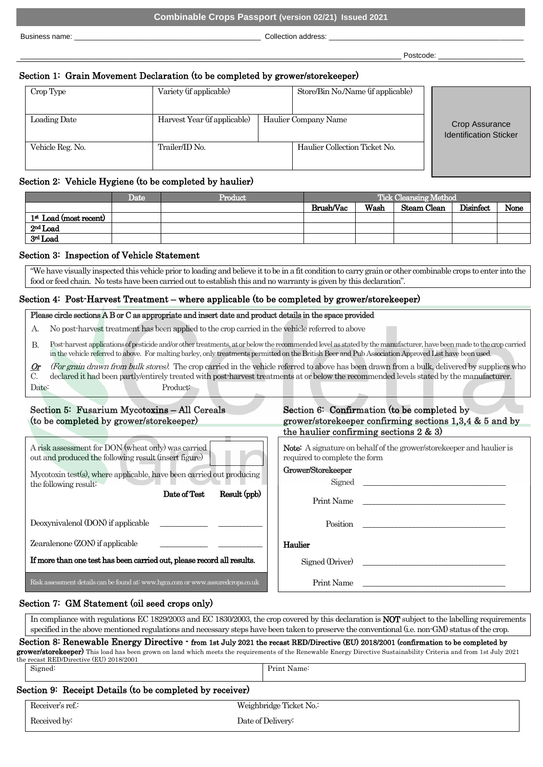Business name: <br>
Business name: 
<br>
Collection address:

\_\_\_\_\_\_\_\_\_\_\_\_\_\_\_\_\_\_\_\_\_\_\_\_\_\_\_\_\_\_\_\_\_\_\_\_\_\_\_\_\_\_\_\_\_\_\_\_\_\_\_\_\_\_\_\_\_\_\_\_\_\_\_\_\_\_\_\_\_\_\_\_\_\_\_\_\_\_\_\_\_\_\_\_\_\_\_\_\_\_\_\_\_\_ Postcode: \_\_\_\_\_\_\_\_\_\_\_\_\_\_\_\_\_\_\_\_\_

## Section 1: Grain Movement Declaration (to be completed by grower/storekeeper)

| Crop Type        | Variety (if applicable)      | Store/Bin No./Name (if applicable) |                                                 |
|------------------|------------------------------|------------------------------------|-------------------------------------------------|
| Loading Date     | Harvest Year (if applicable) | Haulier Company Name               | Crop Assurance<br><b>Identification Sticker</b> |
| Vehicle Reg. No. | Trailer/ID No.               | Haulier Collection Ticket No.      |                                                 |

### Section 2: Vehicle Hygiene (to be completed by haulier)

|                          | Date | Product | Tick Cleansing Method |      |             |           |      |
|--------------------------|------|---------|-----------------------|------|-------------|-----------|------|
|                          |      |         | Brush/Vac             | Wash | Steam Clean | Disinfect | None |
| $1st$ Load (most recent) |      |         |                       |      |             |           |      |
| $2nd$ Load               |      |         |                       |      |             |           |      |
| 3rd Load                 |      |         |                       |      |             |           |      |

### Section 3: Inspection of Vehicle Statement

"We have visually inspected this vehicle prior to loading and believe it to be in a fit condition to carry grain or other combinable crops to enter into the food or feed chain. No tests have been carried out to establish this and no warranty is given by this declaration".

### Section 4: Post-Harvest Treatment – where applicable (to be completed by grower/storekeeper)

#### Please circle sections A B or C as appropriate and insert date and product details in the space provided

- A. No post-harvest treatment has been applied to the crop carried in the vehicle referred to above
- B. Post-harvest applications of pesticide and/or other treatments, at or below the recommended level as stated by the manufacturer, have beenmade to the crop carried in the vehicle referred to above. For malting barley, only treatments permitted on the British Beer and Pub Association Approved List have been used.
- $Qr$  $\mathcal{C}$ (For grain drawn from bulk stores). The crop carried in the vehicle referred to above has been drawn from a bulk, delivered by suppliers who declared it had been partly/entirely treated with post-harvest treatments at or below the recommended levels stated by the manufacturer. Date: Product:

## Section 5: Fusarium Mycotoxins – All Cereals (to be completed by grower/storekeeper)

| A risk assessment for DON (wheat only) was carried<br>out and produced the following result (insert figure)<br>Mycotoxin test(s), where applicable, have been carried out producing<br>the following result: | Note: A signature on behalf of the grower/storekeeper and haulier<br>required to complete the form<br>Grower/Storekeeper<br>Signed |
|--------------------------------------------------------------------------------------------------------------------------------------------------------------------------------------------------------------|------------------------------------------------------------------------------------------------------------------------------------|
| Result (ppb)<br>Date of Test                                                                                                                                                                                 | Print Name                                                                                                                         |
| Deoxynivalenol (DON) if applicable                                                                                                                                                                           | Position                                                                                                                           |
| Zearalenone (ZON) if applicable                                                                                                                                                                              | Haulier                                                                                                                            |
| If more than one test has been carried out, please record all results.                                                                                                                                       | Signed (Driver)                                                                                                                    |
| Risk assessment details can be found at: www.hgca.com or www.assuredcrops.co.uk                                                                                                                              | Print Name                                                                                                                         |

# Section 6: Confirmation (to be completed by grower/storekeeper confirming sections 1,3,4 & 5 and by the haulier confirming sections 2 & 3)

#### Grower/Storekeeper

## Section 7: GM Statement (oil seed crops only)

In compliance with regulations EC 1829/2003 and EC 1830/2003, the crop covered by this declaration is NOT subject to the labelling requirements specified in the above mentioned regulations and necessary steps have been taken to preserve the conventional (i.e. non-GM) status of the crop.

| Section 8: Renewable Energy Directive - from 1st July 2021 the recast RED/Directive (EU) 2018/2001 (confirmation to be completed by                                |
|--------------------------------------------------------------------------------------------------------------------------------------------------------------------|
| grower/storekeeper) This load has been grown on land which meets the requirements of the Renewable Energy Directive Sustainability Criteria and from 1st July 2021 |
| the recast RED/Directive (EU) 2018/2001                                                                                                                            |

| Signed:                                                  | Print Name: |
|----------------------------------------------------------|-------------|
|                                                          |             |
| Section 9: Receipt Details (to be completed by receiver) |             |

| Receiver's ref.: | Weighbridge Ticket No.: |  |
|------------------|-------------------------|--|
| Received by:     | Date of Delivery:       |  |